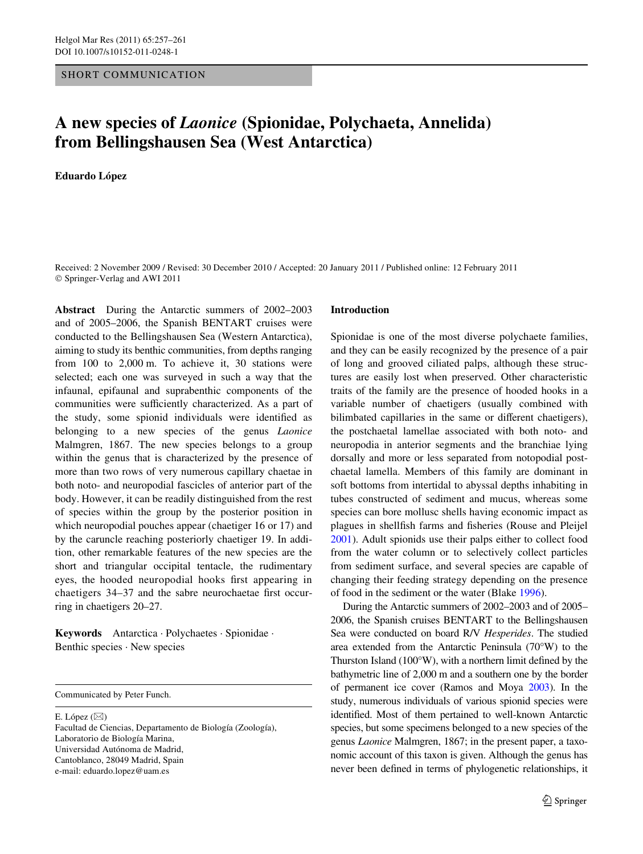## SHORT COMMUNICATION

# **A new species of** *Laonice* **(Spionidae, Polychaeta, Annelida) from Bellingshausen Sea (West Antarctica)**

**Eduardo López** 

Received: 2 November 2009 / Revised: 30 December 2010 / Accepted: 20 January 2011 / Published online: 12 February 2011 © Springer-Verlag and AWI 2011

**Abstract** During the Antarctic summers of 2002–2003 and of 2005–2006, the Spanish BENTART cruises were conducted to the Bellingshausen Sea (Western Antarctica), aiming to study its benthic communities, from depths ranging from 100 to 2,000 m. To achieve it, 30 stations were selected; each one was surveyed in such a way that the infaunal, epifaunal and suprabenthic components of the communities were sufficiently characterized. As a part of the study, some spionid individuals were identified as belonging to a new species of the genus *Laonice* Malmgren, 1867. The new species belongs to a group within the genus that is characterized by the presence of more than two rows of very numerous capillary chaetae in both noto- and neuropodial fascicles of anterior part of the body. However, it can be readily distinguished from the rest of species within the group by the posterior position in which neuropodial pouches appear (chaetiger 16 or 17) and by the caruncle reaching posteriorly chaetiger 19. In addition, other remarkable features of the new species are the short and triangular occipital tentacle, the rudimentary eyes, the hooded neuropodial hooks first appearing in chaetigers  $34-37$  and the sabre neurochaetae first occurring in chaetigers 20–27.

**Keywords** Antarctica · Polychaetes · Spionidae · Benthic species · New species

Communicated by Peter Funch.

E. López  $(\boxtimes)$ 

Facultad de Ciencias, Departamento de Biología (Zoología), Laboratorio de Biología Marina, Universidad Autónoma de Madrid, Cantoblanco, 28049 Madrid, Spain e-mail: eduardo.lopez@uam.es

#### **Introduction**

Spionidae is one of the most diverse polychaete families, and they can be easily recognized by the presence of a pair of long and grooved ciliated palps, although these structures are easily lost when preserved. Other characteristic traits of the family are the presence of hooded hooks in a variable number of chaetigers (usually combined with bilimbated capillaries in the same or different chaetigers), the postchaetal lamellae associated with both noto- and neuropodia in anterior segments and the branchiae lying dorsally and more or less separated from notopodial postchaetal lamella. Members of this family are dominant in soft bottoms from intertidal to abyssal depths inhabiting in tubes constructed of sediment and mucus, whereas some species can bore mollusc shells having economic impact as plagues in shellfish farms and fisheries (Rouse and Pleijel [2001](#page-4-0)). Adult spionids use their palps either to collect food from the water column or to selectively collect particles from sediment surface, and several species are capable of changing their feeding strategy depending on the presence of food in the sediment or the water (Blake [1996\)](#page-4-1).

During the Antarctic summers of 2002–2003 and of 2005– 2006, the Spanish cruises BENTART to the Bellingshausen Sea were conducted on board R/V *Hesperides*. The studied area extended from the Antarctic Peninsula (70°W) to the Thurston Island ( $100^{\circ}$ W), with a northern limit defined by the bathymetric line of 2,000 m and a southern one by the border of permanent ice cover (Ramos and Moya [2003\)](#page-4-2). In the study, numerous individuals of various spionid species were identified. Most of them pertained to well-known Antarctic species, but some specimens belonged to a new species of the genus *Laonice* Malmgren, 1867; in the present paper, a taxonomic account of this taxon is given. Although the genus has never been defined in terms of phylogenetic relationships, it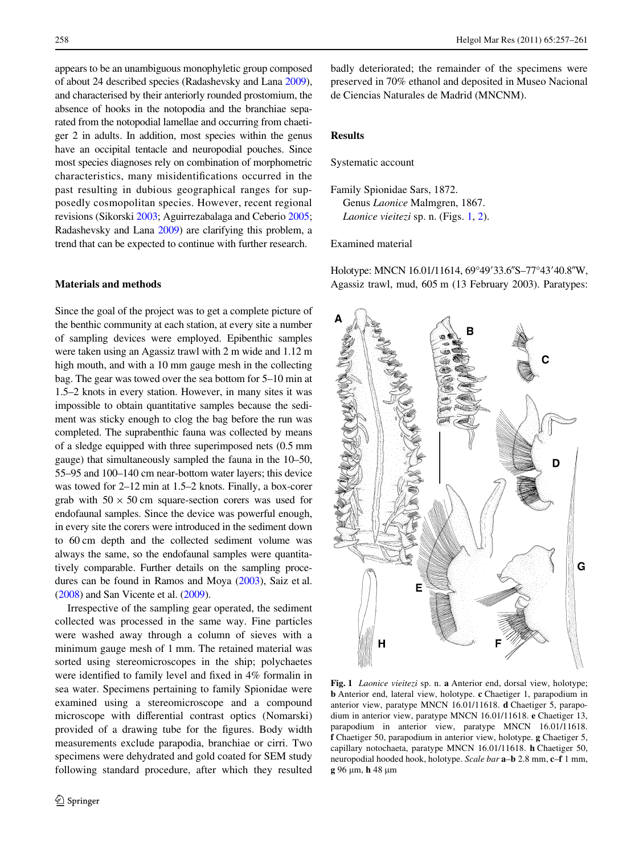appears to be an unambiguous monophyletic group composed of about 24 described species (Radashevsky and Lana [2009\)](#page-4-3), and characterised by their anteriorly rounded prostomium, the absence of hooks in the notopodia and the branchiae separated from the notopodial lamellae and occurring from chaetiger 2 in adults. In addition, most species within the genus have an occipital tentacle and neuropodial pouches. Since most species diagnoses rely on combination of morphometric characteristics, many misidentifications occurred in the past resulting in dubious geographical ranges for supposedly cosmopolitan species. However, recent regional revisions (Sikorski [2003;](#page-4-4) Aguirrezabalaga and Ceberio [2005](#page-3-0); Radashevsky and Lana [2009\)](#page-4-3) are clarifying this problem, a trend that can be expected to continue with further research.

### **Materials and methods**

Since the goal of the project was to get a complete picture of the benthic community at each station, at every site a number of sampling devices were employed. Epibenthic samples were taken using an Agassiz trawl with 2 m wide and 1.12 m high mouth, and with a 10 mm gauge mesh in the collecting bag. The gear was towed over the sea bottom for 5–10 min at 1.5–2 knots in every station. However, in many sites it was impossible to obtain quantitative samples because the sediment was sticky enough to clog the bag before the run was completed. The suprabenthic fauna was collected by means of a sledge equipped with three superimposed nets (0.5 mm gauge) that simultaneously sampled the fauna in the 10–50, 55–95 and 100–140 cm near-bottom water layers; this device was towed for 2–12 min at 1.5–2 knots. Finally, a box-corer grab with  $50 \times 50$  cm square-section corers was used for endofaunal samples. Since the device was powerful enough, in every site the corers were introduced in the sediment down to 60 cm depth and the collected sediment volume was always the same, so the endofaunal samples were quantitatively comparable. Further details on the sampling procedures can be found in Ramos and Moya [\(2003\)](#page-4-2), Saiz et al. [\(2008\)](#page-4-5) and San Vicente et al. [\(2009\)](#page-4-6).

Irrespective of the sampling gear operated, the sediment collected was processed in the same way. Fine particles were washed away through a column of sieves with a minimum gauge mesh of 1 mm. The retained material was sorted using stereomicroscopes in the ship; polychaetes were identified to family level and fixed in 4% formalin in sea water. Specimens pertaining to family Spionidae were examined using a stereomicroscope and a compound microscope with differential contrast optics (Nomarski) provided of a drawing tube for the figures. Body width measurements exclude parapodia, branchiae or cirri. Two specimens were dehydrated and gold coated for SEM study following standard procedure, after which they resulted badly deteriorated; the remainder of the specimens were preserved in 70% ethanol and deposited in Museo Nacional de Ciencias Naturales de Madrid (MNCNM).

# **Results**

Systematic account

Family Spionidae Sars, 1872. Genus *Laonice* Malmgren, 1867. *Laonice vieitezi* sp. n. (Figs. [1](#page-1-0), [2](#page-2-0)).

Examined material

Holotype: MNCN 16.01/11614, 69°49′33.6"S–77°43′40.8"W, Agassiz trawl, mud, 605 m (13 February 2003). Paratypes:



<span id="page-1-0"></span>**Fig. 1** *Laonice vieitezi* sp. n. **a** Anterior end, dorsal view, holotype; **b** Anterior end, lateral view, holotype. **c** Chaetiger 1, parapodium in anterior view, paratype MNCN 16.01/11618. **d** Chaetiger 5, parapodium in anterior view, paratype MNCN 16.01/11618. **e** Chaetiger 13, parapodium in anterior view, paratype MNCN 16.01/11618. **f** Chaetiger 50, parapodium in anterior view, holotype. **g** Chaetiger 5, capillary notochaeta, paratype MNCN 16.01/11618. **h** Chaetiger 50, neuropodial hooded hook, holotype. *Scale bar* **a**–**b** 2.8 mm, **c**–**f** 1 mm, **g** 96 μm, **h** 48 μm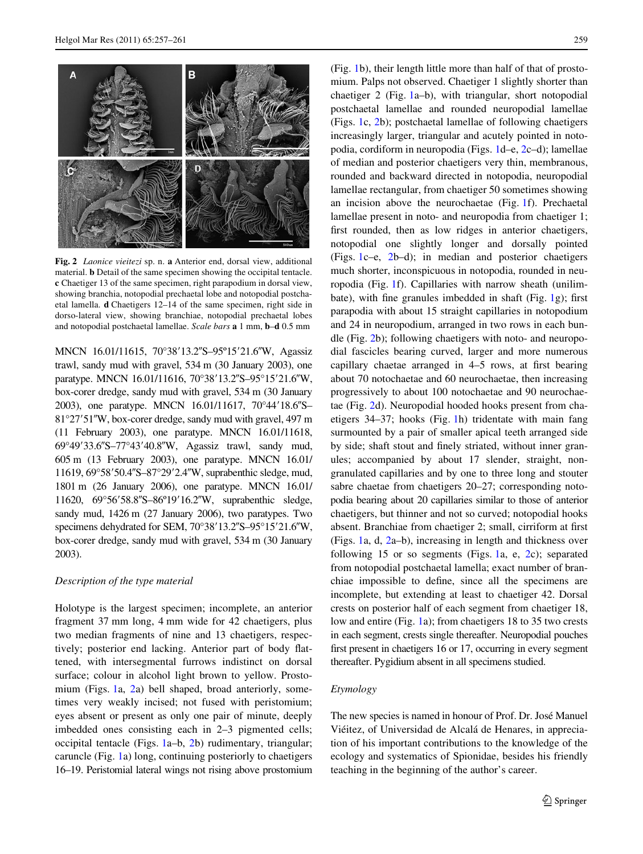

<span id="page-2-0"></span>**Fig. 2** *Laonice vieitezi* sp. n. **a** Anterior end, dorsal view, additional material. **b** Detail of the same specimen showing the occipital tentacle. **c** Chaetiger 13 of the same specimen, right parapodium in dorsal view, showing branchia, notopodial prechaetal lobe and notopodial postchaetal lamella. **d** Chaetigers 12–14 of the same specimen, right side in dorso-lateral view, showing branchiae, notopodial prechaetal lobes and notopodial postchaetal lamellae. *Scale bars* **a** 1 mm, **b**–**d** 0.5 mm

MNCN 16.01/11615, 70°38′13.2″S–95°15′21.6″W, Agassiz trawl, sandy mud with gravel, 534 m (30 January 2003), one paratype. MNCN 16.01/11616, 70°38'13.2"S-95°15'21.6"W, box-corer dredge, sandy mud with gravel, 534 m (30 January 2003), one paratype. MNCN 16.01/11617, 70°44'18.6"S-81°27'51"W, box-corer dredge, sandy mud with gravel, 497 m (11 February 2003), one paratype. MNCN 16.01/11618, 69°49'33.6"S-77°43'40.8"W, Agassiz trawl, sandy mud, 605 m (13 February 2003), one paratype. MNCN 16.01/ 11619, 69°58' 50.4"S-87°29' 2.4"W, suprabenthic sledge, mud, 1801 m (26 January 2006), one paratype. MNCN 16.01/ 11620, 69°56'58.8"S-86°19'16.2"W, suprabenthic sledge, sandy mud, 1426 m (27 January 2006), two paratypes. Two specimens dehydrated for SEM, 70°38'13.2"S-95°15'21.6"W, box-corer dredge, sandy mud with gravel, 534 m (30 January 2003).

## *Description of the type material*

Holotype is the largest specimen; incomplete, an anterior fragment 37 mm long, 4 mm wide for 42 chaetigers, plus two median fragments of nine and 13 chaetigers, respectively; posterior end lacking. Anterior part of body flattened, with intersegmental furrows indistinct on dorsal surface; colour in alcohol light brown to yellow. Prostomium (Figs. [1](#page-1-0)a, [2a](#page-2-0)) bell shaped, broad anteriorly, sometimes very weakly incised; not fused with peristomium; eyes absent or present as only one pair of minute, deeply imbedded ones consisting each in 2–3 pigmented cells; occipital tentacle (Figs. [1a](#page-1-0)–b, [2](#page-2-0)b) rudimentary, triangular; caruncle (Fig. [1](#page-1-0)a) long, continuing posteriorly to chaetigers 16–19. Peristomial lateral wings not rising above prostomium

(Fig. [1b](#page-1-0)), their length little more than half of that of prostomium. Palps not observed. Chaetiger 1 slightly shorter than chaetiger 2 (Fig. [1a](#page-1-0)–b), with triangular, short notopodial postchaetal lamellae and rounded neuropodial lamellae (Figs. [1c](#page-1-0), [2b](#page-2-0)); postchaetal lamellae of following chaetigers increasingly larger, triangular and acutely pointed in notopodia, cordiform in neuropodia (Figs. [1](#page-1-0)d–e, [2c](#page-2-0)–d); lamellae of median and posterior chaetigers very thin, membranous, rounded and backward directed in notopodia, neuropodial lamellae rectangular, from chaetiger 50 sometimes showing an incision above the neurochaetae (Fig. [1](#page-1-0)f). Prechaetal lamellae present in noto- and neuropodia from chaetiger 1; first rounded, then as low ridges in anterior chaetigers, notopodial one slightly longer and dorsally pointed (Figs. [1c](#page-1-0)–e, [2](#page-2-0)b–d); in median and posterior chaetigers much shorter, inconspicuous in notopodia, rounded in neuropodia (Fig. [1](#page-1-0)f). Capillaries with narrow sheath (unilim-bate), with fine granules imbedded in shaft (Fig. [1](#page-1-0)g); first parapodia with about 15 straight capillaries in notopodium and 24 in neuropodium, arranged in two rows in each bundle (Fig. [2b](#page-2-0)); following chaetigers with noto- and neuropodial fascicles bearing curved, larger and more numerous capillary chaetae arranged in 4–5 rows, at first bearing about 70 notochaetae and 60 neurochaetae, then increasing progressively to about 100 notochaetae and 90 neurochaetae (Fig. [2](#page-2-0)d). Neuropodial hooded hooks present from chaetigers 34–37; hooks (Fig. [1h](#page-1-0)) tridentate with main fang surmounted by a pair of smaller apical teeth arranged side by side; shaft stout and finely striated, without inner granules; accompanied by about 17 slender, straight, nongranulated capillaries and by one to three long and stouter sabre chaetae from chaetigers 20–27; corresponding notopodia bearing about 20 capillaries similar to those of anterior chaetigers, but thinner and not so curved; notopodial hooks absent. Branchiae from chaetiger 2; small, cirriform at first (Figs. [1a](#page-1-0), d, [2](#page-2-0)a–b), increasing in length and thickness over following 15 or so segments (Figs. [1](#page-1-0)a, e, [2](#page-2-0)c); separated from notopodial postchaetal lamella; exact number of branchiae impossible to define, since all the specimens are incomplete, but extending at least to chaetiger 42. Dorsal crests on posterior half of each segment from chaetiger 18, low and entire (Fig. [1](#page-1-0)a); from chaetigers 18 to 35 two crests in each segment, crests single thereafter. Neuropodial pouches first present in chaetigers 16 or 17, occurring in every segment thereafter. Pygidium absent in all specimens studied.

## *Etymology*

The new species is named in honour of Prof. Dr. José Manuel Viéitez, of Universidad de Alcalá de Henares, in appreciation of his important contributions to the knowledge of the ecology and systematics of Spionidae, besides his friendly teaching in the beginning of the author's career.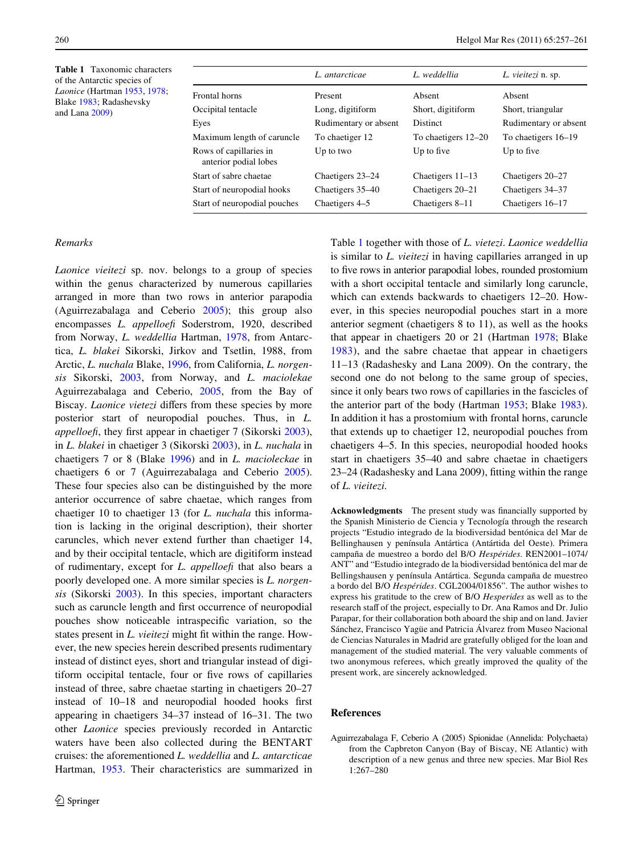<span id="page-3-1"></span>**Table 1** Taxonomic characters of the Antarctic species of *Laonice* (Hartman [1953](#page-4-8), [1978](#page-4-7); Blake [1983;](#page-4-9) Radashevsky and Lana [2009\)](#page-4-3)

|                                                 | L. antarcticae        | L. weddellia        | L. vieitezi n. sp.    |
|-------------------------------------------------|-----------------------|---------------------|-----------------------|
| Frontal horns                                   | Present               | Absent              | Absent                |
| Occipital tentacle                              | Long, digitiform      | Short, digitiform   | Short, triangular     |
| Eyes                                            | Rudimentary or absent | <b>Distinct</b>     | Rudimentary or absent |
| Maximum length of caruncle                      | To chaetiger 12       | To chaetigers 12–20 | To chaetigers 16–19   |
| Rows of capillaries in<br>anterior podial lobes | Up to two             | Up to five          | Up to five            |
| Start of sabre chaetae                          | Chaetigers 23–24      | Chaetigers $11-13$  | Chaetigers 20–27      |
| Start of neuropodial hooks                      | Chaetigers 35–40      | Chaetigers 20–21    | Chaetigers 34–37      |
| Start of neuropodial pouches                    | Chaetigers 4–5        | Chaetigers 8–11     | Chaetigers 16–17      |

# *Remarks*

*Laonice vieitezi* sp. nov. belongs to a group of species within the genus characterized by numerous capillaries arranged in more than two rows in anterior parapodia (Aguirrezabalaga and Ceberio [2005\)](#page-3-0); this group also encompasses *L. appelloefi* Soderstrom, 1920, described from Norway, *L. weddellia* Hartman, [1978,](#page-4-7) from Antarctica, *L. blakei* Sikorski, Jirkov and Tsetlin, 1988, from Arctic, *L. nuchala* Blake, [1996](#page-4-1), from California, *L. norgensis* Sikorski, [2003,](#page-4-4) from Norway, and *L. maciolekae* Aguirrezabalaga and Ceberio, [2005,](#page-3-0) from the Bay of Biscay. *Laonice vietezi* differs from these species by more posterior start of neuropodial pouches. Thus, in *L. appelloefi*, they first appear in chaetiger 7 (Sikorski [2003](#page-4-4)), in *L. blakei* in chaetiger 3 (Sikorski [2003\)](#page-4-4), in *L. nuchala* in chaetigers 7 or 8 (Blake [1996](#page-4-1)) and in *L. macioleckae* in chaetigers 6 or 7 (Aguirrezabalaga and Ceberio [2005](#page-3-0)). These four species also can be distinguished by the more anterior occurrence of sabre chaetae, which ranges from chaetiger 10 to chaetiger 13 (for *L. nuchala* this information is lacking in the original description), their shorter caruncles, which never extend further than chaetiger 14, and by their occipital tentacle, which are digitiform instead of rudimentary, except for *L. appelloefi* that also bears a poorly developed one. A more similar species is *L. norgensis* (Sikorski [2003](#page-4-4)). In this species, important characters such as caruncle length and first occurrence of neuropodial pouches show noticeable intraspecific variation, so the states present in *L. vieitezi* might fit within the range. However, the new species herein described presents rudimentary instead of distinct eyes, short and triangular instead of digitiform occipital tentacle, four or five rows of capillaries instead of three, sabre chaetae starting in chaetigers 20–27 instead of 10–18 and neuropodial hooded hooks first appearing in chaetigers 34–37 instead of 16–31. The two other *Laonice* species previously recorded in Antarctic waters have been also collected during the BENTART cruises: the aforementioned *L. weddellia* and *L. antarcticae* Hartman, [1953.](#page-4-8) Their characteristics are summarized in Table [1](#page-3-1) together with those of *L. vietezi*. *Laonice weddellia* is similar to *L. vieitezi* in having capillaries arranged in up to five rows in anterior parapodial lobes, rounded prostomium with a short occipital tentacle and similarly long caruncle, which can extends backwards to chaetigers 12–20. However, in this species neuropodial pouches start in a more anterior segment (chaetigers 8 to 11), as well as the hooks that appear in chaetigers 20 or 21 (Hartman [1978](#page-4-7); Blake [1983\)](#page-4-9), and the sabre chaetae that appear in chaetigers 11–13 (Radashesky and Lana 2009). On the contrary, the second one do not belong to the same group of species, since it only bears two rows of capillaries in the fascicles of the anterior part of the body (Hartman [1953;](#page-4-8) Blake [1983](#page-4-9)). In addition it has a prostomium with frontal horns, caruncle that extends up to chaetiger 12, neuropodial pouches from chaetigers 4–5. In this species, neuropodial hooded hooks start in chaetigers 35–40 and sabre chaetae in chaetigers 23–24 (Radashesky and Lana 2009), fitting within the range of *L. vieitezi*.

Acknowledgments The present study was financially supported by the Spanish Ministerio de Ciencia y Tecnología through the research projects "Estudio integrado de la biodiversidad bentónica del Mar de Bellinghausen y península Antártica (Antártida del Oeste). Primera campaña de muestreo a bordo del B/O *Hespérides*. REN2001–1074/ ANT" and "Estudio integrado de la biodiversidad bentónica del mar de Bellingshausen y península Antártica. Segunda campaña de muestreo a bordo del B/O *Hespérides*. CGL2004/01856". The author wishes to express his gratitude to the crew of B/O *Hesperides* as well as to the research staff of the project, especially to Dr. Ana Ramos and Dr. Julio Parapar, for their collaboration both aboard the ship and on land. Javier Sánchez, Francisco Yagüe and Patricia Álvarez from Museo Nacional de Ciencias Naturales in Madrid are gratefully obliged for the loan and management of the studied material. The very valuable comments of two anonymous referees, which greatly improved the quality of the present work, are sincerely acknowledged.

#### **References**

<span id="page-3-0"></span>Aguirrezabalaga F, Ceberio A (2005) Spionidae (Annelida: Polychaeta) from the Capbreton Canyon (Bay of Biscay, NE Atlantic) with description of a new genus and three new species. Mar Biol Res 1:267–280